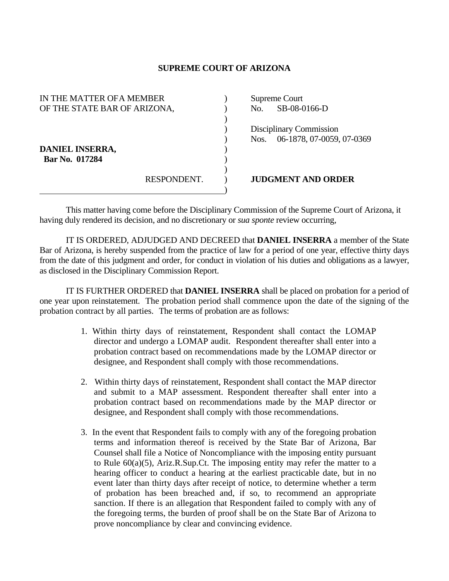## **SUPREME COURT OF ARIZONA**

| IN THE MATTER OF A MEMBER<br>OF THE STATE BAR OF ARIZONA, |             | No.  | Supreme Court<br>SB-08-0166-D                        |
|-----------------------------------------------------------|-------------|------|------------------------------------------------------|
| DANIEL INSERRA,<br>Bar No. 017284                         |             | Nos. | Disciplinary Commission<br>06-1878, 07-0059, 07-0369 |
|                                                           | RESPONDENT. |      | <b>JUDGMENT AND ORDER</b>                            |

This matter having come before the Disciplinary Commission of the Supreme Court of Arizona, it having duly rendered its decision, and no discretionary or *sua sponte* review occurring,

 IT IS ORDERED, ADJUDGED AND DECREED that **DANIEL INSERRA** a member of the State Bar of Arizona, is hereby suspended from the practice of law for a period of one year, effective thirty days from the date of this judgment and order, for conduct in violation of his duties and obligations as a lawyer, as disclosed in the Disciplinary Commission Report.

 IT IS FURTHER ORDERED that **DANIEL INSERRA** shall be placed on probation for a period of one year upon reinstatement. The probation period shall commence upon the date of the signing of the probation contract by all parties. The terms of probation are as follows:

- 1. Within thirty days of reinstatement, Respondent shall contact the LOMAP director and undergo a LOMAP audit. Respondent thereafter shall enter into a probation contract based on recommendations made by the LOMAP director or designee, and Respondent shall comply with those recommendations.
- 2. Within thirty days of reinstatement, Respondent shall contact the MAP director and submit to a MAP assessment. Respondent thereafter shall enter into a probation contract based on recommendations made by the MAP director or designee, and Respondent shall comply with those recommendations.
- 3. In the event that Respondent fails to comply with any of the foregoing probation terms and information thereof is received by the State Bar of Arizona, Bar Counsel shall file a Notice of Noncompliance with the imposing entity pursuant to Rule 60(a)(5), Ariz.R.Sup.Ct. The imposing entity may refer the matter to a hearing officer to conduct a hearing at the earliest practicable date, but in no event later than thirty days after receipt of notice, to determine whether a term of probation has been breached and, if so, to recommend an appropriate sanction. If there is an allegation that Respondent failed to comply with any of the foregoing terms, the burden of proof shall be on the State Bar of Arizona to prove noncompliance by clear and convincing evidence.